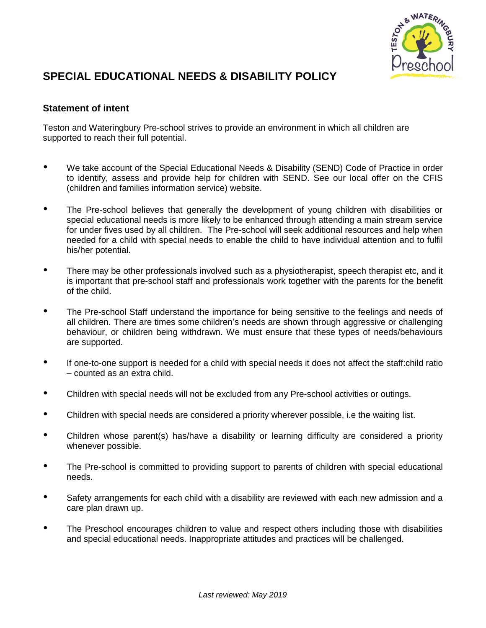

## **SPECIAL EDUCATIONAL NEEDS & DISABILITY POLICY**

## **Statement of intent**

Teston and Wateringbury Pre-school strives to provide an environment in which all children are supported to reach their full potential.

- We take account of the Special Educational Needs & Disability (SEND) Code of Practice in order to identify, assess and provide help for children with SEND. See our local offer on the CFIS (children and families information service) website.
- The Pre-school believes that generally the development of young children with disabilities or special educational needs is more likely to be enhanced through attending a main stream service for under fives used by all children. The Pre-school will seek additional resources and help when needed for a child with special needs to enable the child to have individual attention and to fulfil his/her potential.
- There may be other professionals involved such as a physiotherapist, speech therapist etc, and it is important that pre-school staff and professionals work together with the parents for the benefit of the child.
- The Pre-school Staff understand the importance for being sensitive to the feelings and needs of all children. There are times some children's needs are shown through aggressive or challenging behaviour, or children being withdrawn. We must ensure that these types of needs/behaviours are supported.
- If one-to-one support is needed for a child with special needs it does not affect the staff:child ratio – counted as an extra child.
- Children with special needs will not be excluded from any Pre-school activities or outings.
- Children with special needs are considered a priority wherever possible, i.e the waiting list.
- Children whose parent(s) has/have a disability or learning difficulty are considered a priority whenever possible.
- The Pre-school is committed to providing support to parents of children with special educational needs.
- Safety arrangements for each child with a disability are reviewed with each new admission and a care plan drawn up.
- The Preschool encourages children to value and respect others including those with disabilities and special educational needs. Inappropriate attitudes and practices will be challenged.